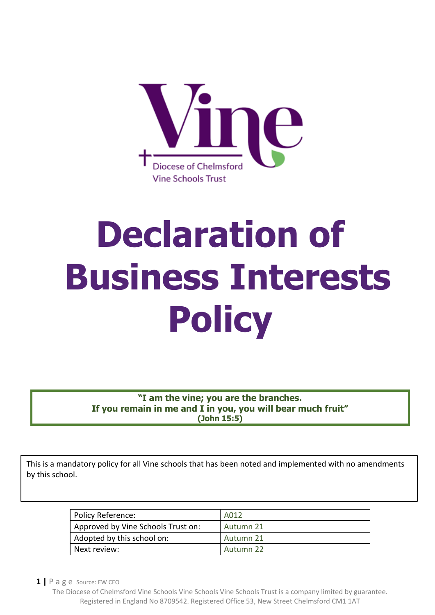

# **Declaration of Business Interests Policy**

**"I am the vine; you are the branches. If you remain in me and I in you, you will bear much fruit" (John 15:5)**

This is a mandatory policy for all Vine schools that has been noted and implemented with no amendments by this school.

| Policy Reference:                  | A012      |
|------------------------------------|-----------|
| Approved by Vine Schools Trust on: | Autumn 21 |
| Adopted by this school on:         | Autumn 21 |
| Next review:                       | Autumn 22 |

**1 |** P a g e Source: EW CEO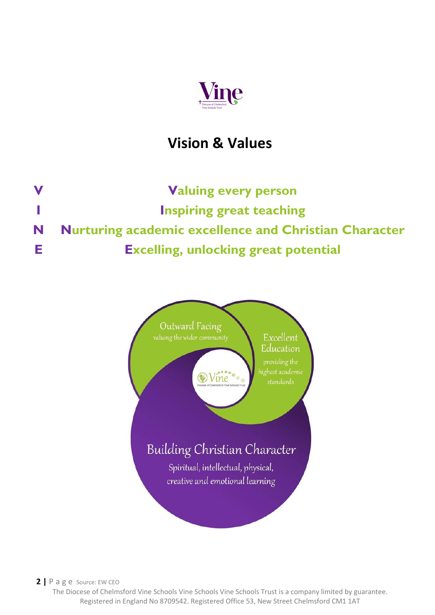

## **Vision & Values**

**V Valuing every person I Inspiring great teaching N Nurturing academic excellence and Christian Character E Excelling, unlocking great potential**



**2 |** P a g e Source: EW CEO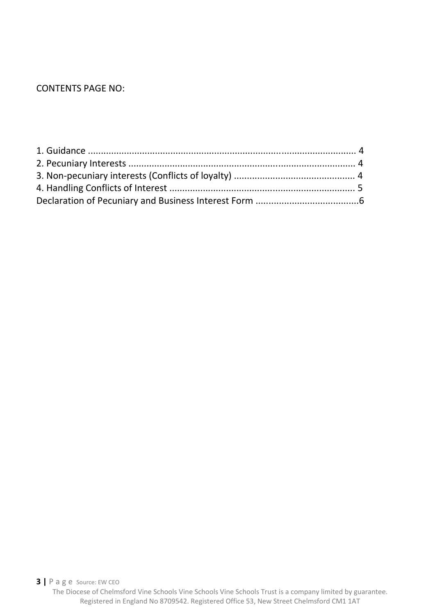#### CONTENTS PAGE NO: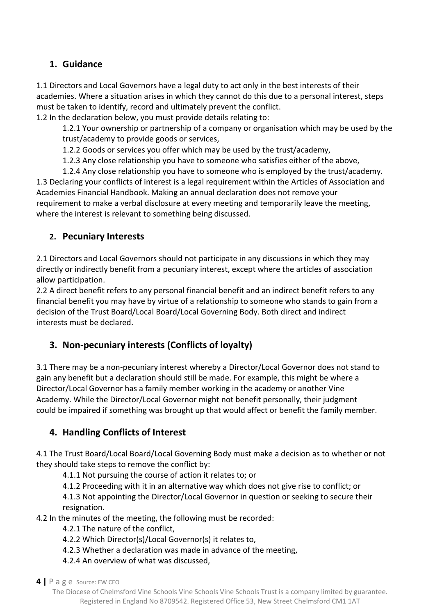#### **1. Guidance**

1.1 Directors and Local Governors have a legal duty to act only in the best interests of their academies. Where a situation arises in which they cannot do this due to a personal interest, steps must be taken to identify, record and ultimately prevent the conflict.

1.2 In the declaration below, you must provide details relating to:

1.2.1 Your ownership or partnership of a company or organisation which may be used by the trust/academy to provide goods or services,

1.2.2 Goods or services you offer which may be used by the trust/academy,

1.2.3 Any close relationship you have to someone who satisfies either of the above,

1.2.4 Any close relationship you have to someone who is employed by the trust/academy. 1.3 Declaring your conflicts of interest is a legal requirement within the Articles of Association and Academies Financial Handbook. Making an annual declaration does not remove your requirement to make a verbal disclosure at every meeting and temporarily leave the meeting, where the interest is relevant to something being discussed.

#### **2. Pecuniary Interests**

2.1 Directors and Local Governors should not participate in any discussions in which they may directly or indirectly benefit from a pecuniary interest, except where the articles of association allow participation.

2.2 A direct benefit refers to any personal financial benefit and an indirect benefit refers to any financial benefit you may have by virtue of a relationship to someone who stands to gain from a decision of the Trust Board/Local Board/Local Governing Body. Both direct and indirect interests must be declared.

### **3. Non-pecuniary interests (Conflicts of loyalty)**

3.1 There may be a non-pecuniary interest whereby a Director/Local Governor does not stand to gain any benefit but a declaration should still be made. For example, this might be where a Director/Local Governor has a family member working in the academy or another Vine Academy. While the Director/Local Governor might not benefit personally, their judgment could be impaired if something was brought up that would affect or benefit the family member.

### **4. Handling Conflicts of Interest**

4.1 The Trust Board/Local Board/Local Governing Body must make a decision as to whether or not they should take steps to remove the conflict by:

4.1.1 Not pursuing the course of action it relates to; or

4.1.2 Proceeding with it in an alternative way which does not give rise to conflict; or

4.1.3 Not appointing the Director/Local Governor in question or seeking to secure their resignation.

4.2 In the minutes of the meeting, the following must be recorded:

4.2.1 The nature of the conflict,

4.2.2 Which Director(s)/Local Governor(s) it relates to,

- 4.2.3 Whether a declaration was made in advance of the meeting,
- 4.2.4 An overview of what was discussed,

**4 |** P a g e Source: EW CEO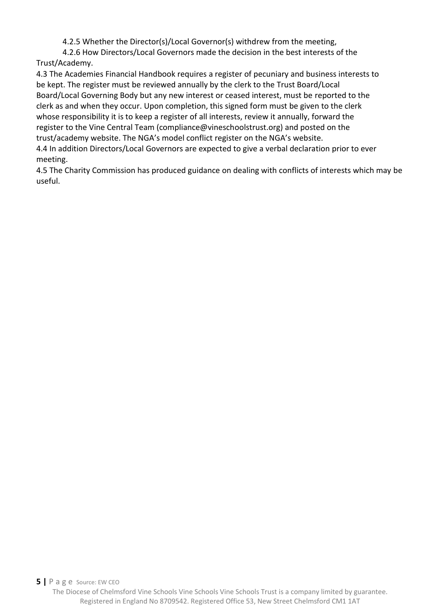4.2.5 Whether the Director(s)/Local Governor(s) withdrew from the meeting,

4.2.6 How Directors/Local Governors made the decision in the best interests of the Trust/Academy.

4.3 The Academies Financial Handbook requires a register of pecuniary and business interests to be kept. The register must be reviewed annually by the clerk to the Trust Board/Local Board/Local Governing Body but any new interest or ceased interest, must be reported to the clerk as and when they occur. Upon completion, this signed form must be given to the clerk whose responsibility it is to keep a register of all interests, review it annually, forward the register to the Vine Central Team (compliance@vineschoolstrust.org) and posted on the trust/academy website. The NGA's model conflict register on the NGA's website. 4.4 In addition Directors/Local Governors are expected to give a verbal declaration prior to ever

meeting.

4.5 The Charity Commission has produced guidance on dealing with conflicts of interests which may be useful.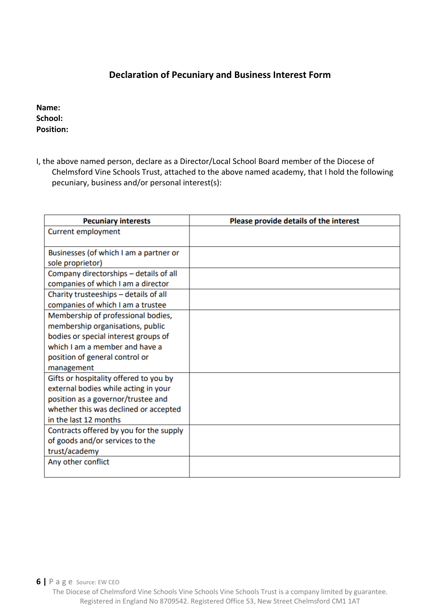#### **Declaration of Pecuniary and Business Interest Form**

#### **Name: School: Position:**

I, the above named person, declare as a Director/Local School Board member of the Diocese of Chelmsford Vine Schools Trust, attached to the above named academy, that I hold the following pecuniary, business and/or personal interest(s):

| <b>Pecuniary interests</b>              | Please provide details of the interest |
|-----------------------------------------|----------------------------------------|
| <b>Current employment</b>               |                                        |
|                                         |                                        |
| Businesses (of which I am a partner or  |                                        |
| sole proprietor)                        |                                        |
| Company directorships - details of all  |                                        |
| companies of which I am a director      |                                        |
| Charity trusteeships - details of all   |                                        |
| companies of which I am a trustee       |                                        |
| Membership of professional bodies,      |                                        |
| membership organisations, public        |                                        |
| bodies or special interest groups of    |                                        |
| which I am a member and have a          |                                        |
| position of general control or          |                                        |
| management                              |                                        |
| Gifts or hospitality offered to you by  |                                        |
| external bodies while acting in your    |                                        |
| position as a governor/trustee and      |                                        |
| whether this was declined or accepted   |                                        |
| in the last 12 months                   |                                        |
| Contracts offered by you for the supply |                                        |
| of goods and/or services to the         |                                        |
| trust/academy                           |                                        |
| Any other conflict                      |                                        |
|                                         |                                        |

The Diocese of Chelmsford Vine Schools Vine Schools Vine Schools Trust is a company limited by guarantee. Registered in England No 8709542. Registered Office 53, New Street Chelmsford CM1 1AT